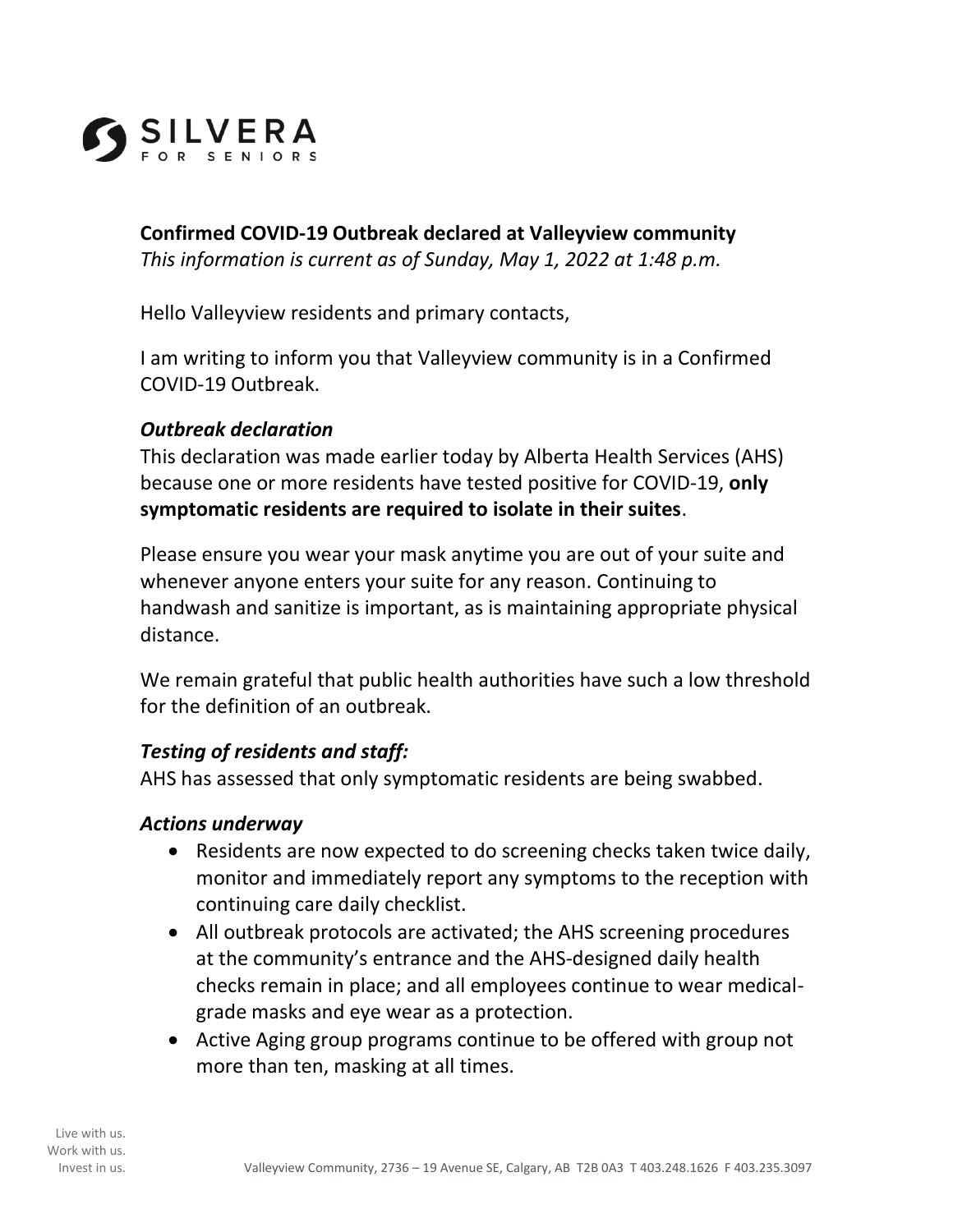

**Confirmed COVID-19 Outbreak declared at Valleyview community**  *This information is current as of Sunday, May 1, 2022 at 1:48 p.m.*

Hello Valleyview residents and primary contacts,

I am writing to inform you that Valleyview community is in a Confirmed COVID-19 Outbreak.

### *Outbreak declaration*

This declaration was made earlier today by Alberta Health Services (AHS) because one or more residents have tested positive for COVID-19, **only symptomatic residents are required to isolate in their suites**.

Please ensure you wear your mask anytime you are out of your suite and whenever anyone enters your suite for any reason. Continuing to handwash and sanitize is important, as is maintaining appropriate physical distance.

We remain grateful that public health authorities have such a low threshold for the definition of an outbreak.

# *Testing of residents and staff:*

AHS has assessed that only symptomatic residents are being swabbed.

### *Actions underway*

- Residents are now expected to do screening checks taken twice daily, monitor and immediately report any symptoms to the reception with continuing care daily checklist.
- All outbreak protocols are activated; the AHS screening procedures at the community's entrance and the AHS-designed daily health checks remain in place; and all employees continue to wear medicalgrade masks and eye wear as a protection.
- Active Aging group programs continue to be offered with group not more than ten, masking at all times.